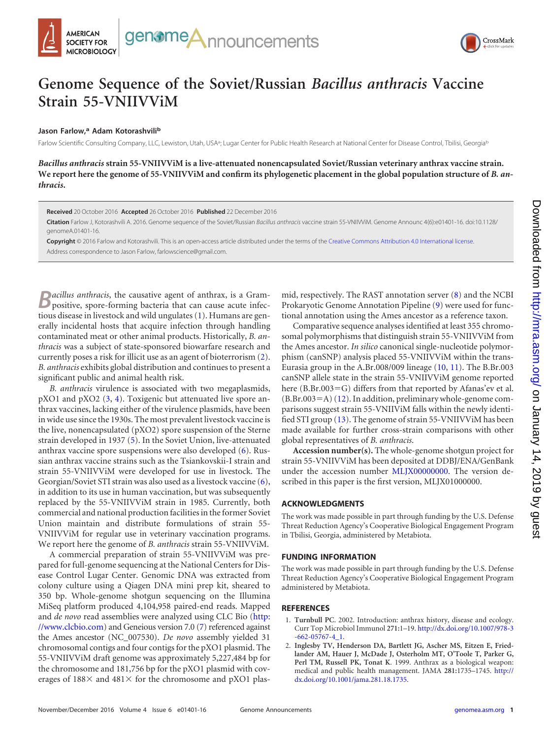



# **Genome Sequence of the Soviet/Russian** *Bacillus anthracis* **Vaccine Strain 55-VNIIVViM**

## **Jason Farlow,<sup>a</sup> Adam Kotorashvili<sup>b</sup>**

Farlow Scientific Consulting Company, LLC, Lewiston, Utah, USA<sup>a</sup>; Lugar Center for Public Health Research at National Center for Disease Control, Tbilisi, Georgiab

*Bacillus anthracis* **strain 55-VNIIVViM is a live-attenuated nonencapsulated Soviet/Russian veterinary anthrax vaccine strain. We report here the genome of 55-VNIIVViM and confirm its phylogenetic placement in the global population structure of** *B. anthracis***.**

**Received** 20 October 2016 **Accepted** 26 October 2016 **Published** 22 December 2016

**Citation** Farlow J, Kotorashvili A. 2016. Genome sequence of the Soviet/Russian *Bacillus anthracis* vaccine strain 55-VNIIVViM. Genome Announc 4(6):e01401-16. doi:10.1128/ genomeA.01401-16.

**Copyright** © 2016 Farlow and Kotorashvili. This is an open-access article distributed under the terms of the Creative Commons Attribution 4.0 International license. Address correspondence to Jason Farlow, farlowscience@gmail.com.

**B***acillus anthracis*, the causative agent of anthrax, is a Gram-<br>positive, spore-forming bacteria that can cause acute infectious disease in livestock and wild ungulates [\(1\)](#page-0-0). Humans are generally incidental hosts that acquire infection through handling contaminated meat or other animal products. Historically, *B. anthracis* was a subject of state-sponsored biowarfare research and currently poses a risk for illicit use as an agent of bioterrorism [\(2\)](#page-0-1). *B. anthracis* exhibits global distribution and continues to present a significant public and animal health risk.

*B. anthracis* virulence is associated with two megaplasmids, pXO1 and pXO2 [\(3,](#page-1-0) [4\)](#page-1-1). Toxigenic but attenuated live spore anthrax vaccines, lacking either of the virulence plasmids, have been in wide use since the 1930s. The most prevalent livestock vaccine is the live, nonencapsulated (pXO2) spore suspension of the Sterne strain developed in 1937 [\(5\)](#page-1-2). In the Soviet Union, live-attenuated anthrax vaccine spore suspensions were also developed [\(6\)](#page-1-3). Russian anthrax vaccine strains such as the Tsiankovskii-I strain and strain 55-VNIIVViM were developed for use in livestock. The Georgian/Soviet STI strain was also used as a livestock vaccine [\(6\)](#page-1-3), in addition to its use in human vaccination, but was subsequently replaced by the 55-VNIIVViM strain in 1985. Currently, both commercial and national production facilities in the former Soviet Union maintain and distribute formulations of strain 55- VNIIVViM for regular use in veterinary vaccination programs. We report here the genome of *B. anthracis* strain 55-VNIIVViM.

A commercial preparation of strain 55-VNIIVViM was prepared for full-genome sequencing at the National Centers for Disease Control Lugar Center. Genomic DNA was extracted from colony culture using a Qiagen DNA mini prep kit, sheared to 350 bp. Whole-genome shotgun sequencing on the Illumina MiSeq platform produced 4,104,958 paired-end reads. Mapped and *de novo* read assemblies were analyzed using CLC Bio (http: //www.clcbio.com) and Geneious version 7.0 [\(7\)](#page-1-4) referenced against the Ames ancestor (NC\_007530). *De novo* assembly yielded 31 chromosomal contigs and four contigs for the pXO1 plasmid. The 55-VNIIVViM draft genome was approximately 5,227,484 bp for the chromosome and 181,756 bp for the pXO1 plasmid with coverages of  $188 \times$  and  $481 \times$  for the chromosome and pXO1 plasmid, respectively. The RAST annotation server [\(8\)](#page-1-5) and the NCBI Prokaryotic Genome Annotation Pipeline [\(9\)](#page-1-6) were used for functional annotation using the Ames ancestor as a reference taxon.

Comparative sequence analyses identified at least 355 chromosomal polymorphisms that distinguish strain 55-VNIIVViM from the Ames ancestor. *In silico* canonical single-nucleotide polymorphism (canSNP) analysis placed 55-VNIIVViM within the trans-Eurasia group in the A.Br.008/009 lineage [\(10,](#page-1-7) [11\)](#page-1-8). The B.Br.003 canSNP allele state in the strain 55-VNIIVViM genome reported here  $(B.Br.003 = G)$  differs from that reported by Afanas'ev et al.  $(B.Br.003=A)$  [\(12\)](#page-1-9). In addition, preliminary whole-genome comparisons suggest strain 55-VNIIViM falls within the newly identified STI group [\(13\)](#page-1-10). The genome of strain 55-VNIIVViM has been made available for further cross-strain comparisons with other global representatives of *B. anthracis*.

**Accession number(s).** The whole-genome shotgun project for strain 55-VNIIVViM has been deposited at DDBJ/ENA/GenBank under the accession number MLJX00000000. The version described in this paper is the first version, MLJX01000000.

#### **ACKNOWLEDGMENTS**

The work was made possible in part through funding by the U.S. Defense Threat Reduction Agency's Cooperative Biological Engagement Program in Tbilisi, Georgia, administered by Metabiota.

#### **FUNDING INFORMATION**

The work was made possible in part through funding by the U.S. Defense Threat Reduction Agency's Cooperative Biological Engagement Program administered by Metabiota.

### <span id="page-0-0"></span>**REFERENCES**

- 1. **Turnbull PC**. 2002. Introduction: anthrax history, disease and ecology. Curr Top Microbiol Immunol **271:**1–19. http://dx.doi.org/10.1007/978-3 -662-05767-4\_1.
- <span id="page-0-1"></span>2. **Inglesby TV, Henderson DA, Bartlett JG, Ascher MS, Eitzen E, Friedlander AM, Hauer J, McDade J, Osterholm MT, O'Toole T, Parker G, Perl TM, Russell PK, Tonat K**. 1999. Anthrax as a biological weapon: medical and public health management. JAMA **281:**1735–1745. http:// dx.doi.org/10.1001/jama.281.18.1735.